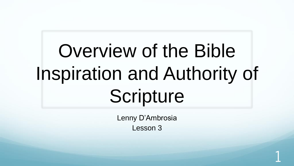# Overview of the Bible Inspiration and Authority of Scripture

Lenny D'Ambrosia Lesson 3

1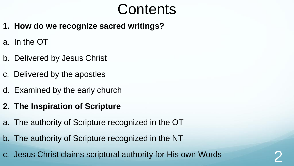### **Contents**

- **1. How do we recognize sacred writings?**
- a. In the OT
- b. Delivered by Jesus Christ
- c. Delivered by the apostles
- d. Examined by the early church
- **2. The Inspiration of Scripture**
- a. The authority of Scripture recognized in the OT
- b. The authority of Scripture recognized in the NT
- c. Jesus Christ claims scriptural authority for His own Words 2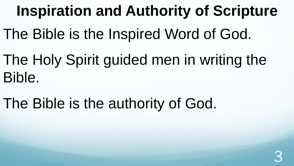### **Inspiration and Authority of Scripture**

- The Bible is the Inspired Word of God.
- The Holy Spirit guided men in writing the Bible.
- The Bible is the authority of God.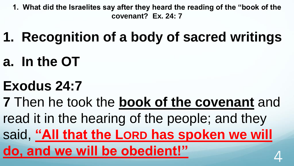**1. What did the Israelites say after they heard the reading of the "book of the covenant? Ex. 24: 7**

- **1. Recognition of a body of sacred writings**
- **a. In the OT**

## **Exodus 24:7**

**7** Then he took the **book of the covenant** and read it in the hearing of the people; and they said, **"All that the LORD has spoken we will do, and we will be obedient!"** 4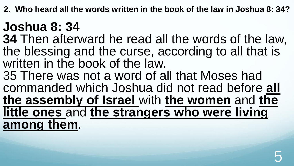**2. Who heard all the words written in the book of the law in Joshua 8: 34?**

### **Joshua 8: 34**

**34** Then afterward he read all the words of the law, the blessing and the curse, according to all that is written in the book of the law.

35 There was not a word of all that Moses had commanded which Joshua did not read before **all the assembly of Israel** with **the women** and **the little ones** and **the strangers who were living among them**.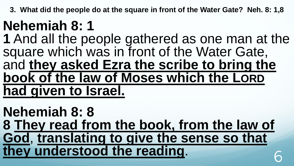**3. What did the people do at the square in front of the Water Gate? Neh. 8: 1,8**

## **Nehemiah 8: 1**

**1** And all the people gathered as one man at the square which was in front of the Water Gate, and **they asked Ezra the scribe to bring the book of the law of Moses which the LORD had given to Israel.** 

**Nehemiah 8: 8 8 They read from the book, from the law of God**, **translating to give the sense so that they understood the reading**. 6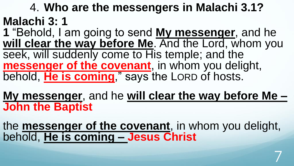4. **Who are the messengers in Malachi 3.1? Malachi 3: 1** 

**1** "Behold, I am going to send **My messenger**, and he **will clear the way before Me**. And the Lord, whom you seek, will suddenly come to His temple; and the **messenger of the covenant**, in whom you delight, behold, **He is coming**," says the LORD of hosts.

**My messenger**, and he **will clear the way before Me – John the Baptist**

the **messenger of the covenant**, in whom you delight, behold, **He is coming – Jesus Christ**

7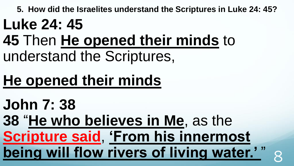**5. How did the Israelites understand the Scriptures in Luke 24: 45?**

## **Luke 24: 45**

**45** Then **He opened their minds** to understand the Scriptures,

# **He opened their minds**

**John 7: 38** 

**38** "**He who believes in Me**, as the

**Scripture said**, **'From his innermost being will flow rivers of living water.'**"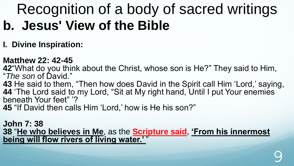#### **I. Divine Inspiration:**

#### **Matthew 22: 42-45**

**42**"What do you think about the Christ, whose son is He?" They said to Him, "*The son* of David."

**43** He said to them, "Then how does David in the Spirit call Him 'Lord,' saying, **44** 'The Lord said to my Lord, "Sit at My right hand, Until I put Your enemies beneath Your feet" '?

**45** "If David then calls Him 'Lord,' how is He his son?"

**John 7: 38 38** "**He who believes in Me**, as the **Scripture said**, **'From his innermost being will flow rivers of living water.'** "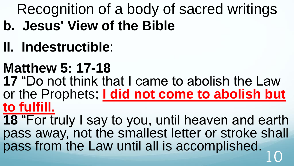- **II. Indestructible**:
- **Matthew 5: 17-18 17** "Do not think that I came to abolish the Law or the Prophets; **I did not come to abolish but to fulfill.**
- **18** "For truly I say to you, until heaven and earth pass away, not the smallest letter or stroke shall pass from the Law until all is accomplished. 10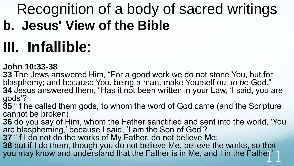# **III. Infallible**:

#### **John 10:33-38**

**33** The Jews answered Him, "For a good work we do not stone You, but for blasphemy; and because You, being a man, make Yourself out *to be* God." **34** Jesus answered them, "Has it not been written in your Law, 'I said, you are

- gods'?
- **35** "If he called them gods, to whom the word of God came (and the Scripture cannot be broken),
- **36** do you say of Him, whom the Father sanctified and sent into the world, 'You are blaspheming,' because I said, 'I am the Son of God'?
- **37** "If I do not do the works of My Father, do not believe Me;
- **38** but if I do them, though you do not believe Me, believe the works, so that you may know and understand that the Father is in Me, and I in the Father."1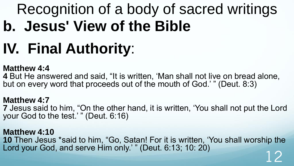# **IV. Final Authority**:

#### **Matthew 4:4**

**4** But He answered and said, "It is written, 'Man shall not live on bread alone, but on every word that proceeds out of the mouth of God.' " (Deut. 8:3)

**Matthew 4:7 7** Jesus said to him, "On the other hand, it is written, 'You shall not put the Lord your God to the test.' " (Deut. 6:16)

**Matthew 4:10 10** Then Jesus \*said to him, "Go, Satan! For it is written, 'You shall worship the Lord your God, and serve Him only.' " (Deut. 6:13; 10: 20) 12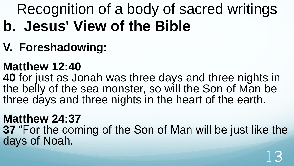**V. Foreshadowing:**

### **Matthew 12:40**

**40** for just as Jonah was three days and three nights in the belly of the sea monster, so will the Son of Man be three days and three nights in the heart of the earth.

#### **Matthew 24:37**

**37** "For the coming of the Son of Man will be just like the days of Noah.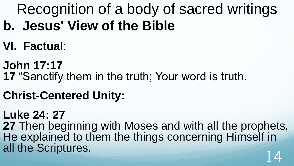- **VI. Factual**:
- **John 17:17 17** "Sanctify them in the truth; Your word is truth.
- **Christ-Centered Unity:**
- **Luke 24: 27**
- **27** Then beginning with Moses and with all the prophets, He explained to them the things concerning Himself in all the Scriptures.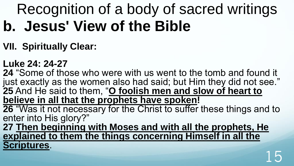#### **VII. Spiritually Clear:**

#### **Luke 24: 24-27**

**24** "Some of those who were with us went to the tomb and found it just exactly as the women also had said; but Him they did not see." **25** And He said to them, "**O foolish men and slow of heart to believe in all that the prophets have spoken! 26** "Was it not necessary for the Christ to suffer these things and to enter into His glory?" **27 Then beginning with Moses and with all the prophets, He explained to them the things concerning Himself in all the Scriptures**.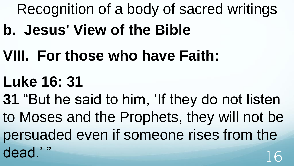- **VIII. For those who have Faith:**
- **Luke 16: 31**
- **31** "But he said to him, 'If they do not listen to Moses and the Prophets, they will not be persuaded even if someone rises from the dead<sup>'</sup>" 16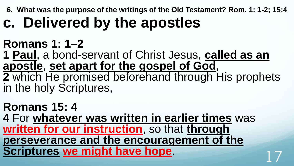**6. What was the purpose of the writings of the Old Testament? Rom. 1: 1-2; 15:4**

# **c. Delivered by the apostles**

### **Romans 1: 1–2**

**1 Paul**, a bond-servant of Christ Jesus, **called as an apostle**, **set apart for the gospel of God**, **2** which He promised beforehand through His prophets

in the holy Scriptures,

**Romans 15: 4 4** For **whatever was written in earlier times** was **written for our instruction**, so that **through perseverance and the encouragement of the Scriptures we might have hope.**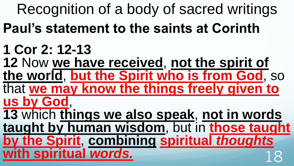Recognition of a body of sacred writings

- **Paul's statement to the saints at Corinth**
- **1 Cor 2: 12-13**
- **12** Now **we have received**, **not the spirit of the world**, **but the Spirit who is from God**, so that **we may know the things freely given to**
- **us by God**,
	- **13** which **things we also speak**, **not in words taught by human wisdom**, but in **those taught by the Spirit**, **combining spiritual** *thoughts* **with spiritual** *words***.**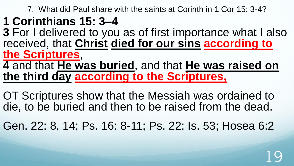7. What did Paul share with the saints at Corinth in 1 Cor 15: 3-4?

### **1 Corinthians 15: 3–4**

**3** For I delivered to you as of first importance what I also received, that **Christ died for our sins according to the Scriptures**,

**4** and that **He was buried**, and that **He was raised on the third day according to the Scriptures,** 

OT Scriptures show that the Messiah was ordained to die, to be buried and then to be raised from the dead.

Gen. 22: 8, 14; Ps. 16: 8-11; Ps. 22; Is. 53; Hosea 6:2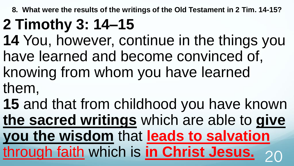**8. What were the results of the writings of the Old Testament in 2 Tim. 14-15?**

# **2 Timothy 3: 14–15**

- **14** You, however, continue in the things you have learned and become convinced of, knowing from whom you have learned
- them,
- **15** and that from childhood you have known **the sacred writings** which are able to **give you the wisdom** that **leads to salvation** through faith which is **in Christ Jesus.** 20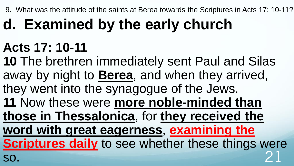9. What was the attitude of the saints at Berea towards the Scriptures in Acts 17: 10-11?

# **d. Examined by the early church**

### **Acts 17: 10-11**

**10** The brethren immediately sent Paul and Silas away by night to **Berea**, and when they arrived, they went into the synagogue of the Jews. **11** Now these were **more noble-minded than those in Thessalonica**, for **they received the word with great eagerness**, **examining the Scriptures daily** to see whether these things were so. 21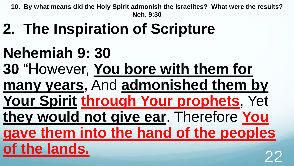**10. By what means did the Holy Spirit admonish the Israelites? What were the results? Neh. 9:30**

- **2. The Inspiration of Scripture**
- **Nehemiah 9: 30**
- **30** "However, **You bore with them for**
- **many years**, And **admonished them by**
- **Your Spirit through Your prophets**, Yet
- **they would not give ear**. Therefore **You**
- **gave them into the hand of the peoples**



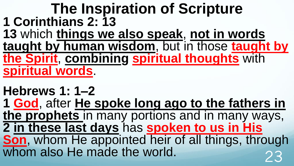### **The Inspiration of Scripture 1 Corinthians 2: 13**

**13** which **things we also speak**, **not in words taught by human wisdom**, but in those **taught by the Spirit**, **combining spiritual thoughts** with **spiritual words**.

### **Hebrews 1: 1–2 1 God**, after **He spoke long ago to the fathers in the prophets** in many portions and in many ways, **2 in these last days** has **spoken to us in His Son**, whom He appointed heir of all things, through whom also He made the world.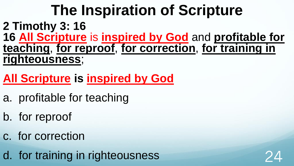### **The Inspiration of Scripture 2 Timothy 3: 16 16 All Scripture** is **inspired by God** and **profitable for teaching**, **for reproof**, **for correction**, **for training in righteousness**;

### **All Scripture is inspired by God**

- a. profitable for teaching
- b. for reproof
- c. for correction
- d. for training in righteousness

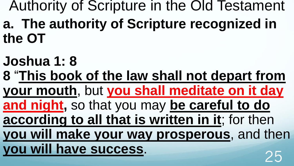Authority of Scripture in the Old Testament **a. The authority of Scripture recognized in** 

**the OT**

**Joshua 1: 8 8** "**This book of the law shall not depart from your mouth**, but **you shall meditate on it day and night,** so that you may **be careful to do according to all that is written in it**; for then **you will make your way prosperous**, and then **you will have success.**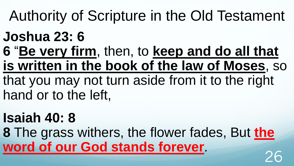## Authority of Scripture in the Old Testament

### **Joshua 23: 6**

- **6** "**Be very firm**, then, to **keep and do all that is written in the book of the law of Moses**, so
- that you may not turn aside from it to the right hand or to the left,

### **Isaiah 40: 8**

**8** The grass withers, the flower fades, But **the word of our God stands forever.**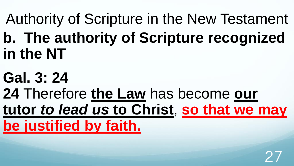Authority of Scripture in the New Testament **b. The authority of Scripture recognized in the NT**

**Gal. 3: 24 24** Therefore **the Law** has become **our tutor** *to lead us* **to Christ**, **so that we may be justified by faith.**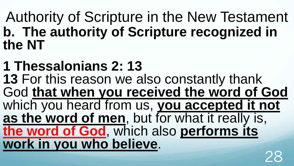Authority of Scripture in the New Testament **b. The authority of Scripture recognized in the NT**

**1 Thessalonians 2: 13 13** For this reason we also constantly thank God **that when you received the word of God** which you heard from us, **you accepted it not as the word of men**, but for what it really is, **the word of God**, which also **performs its work in you who believe**. 28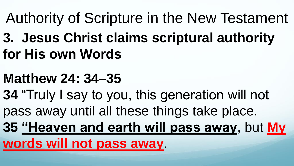## Authority of Scripture in the New Testament

**3. Jesus Christ claims scriptural authority for His own Words**

### **Matthew 24: 34–35**

- **34** "Truly I say to you, this generation will not pass away until all these things take place.
- **35 "Heaven and earth will pass away**, but **My**

**words will not pass away**.